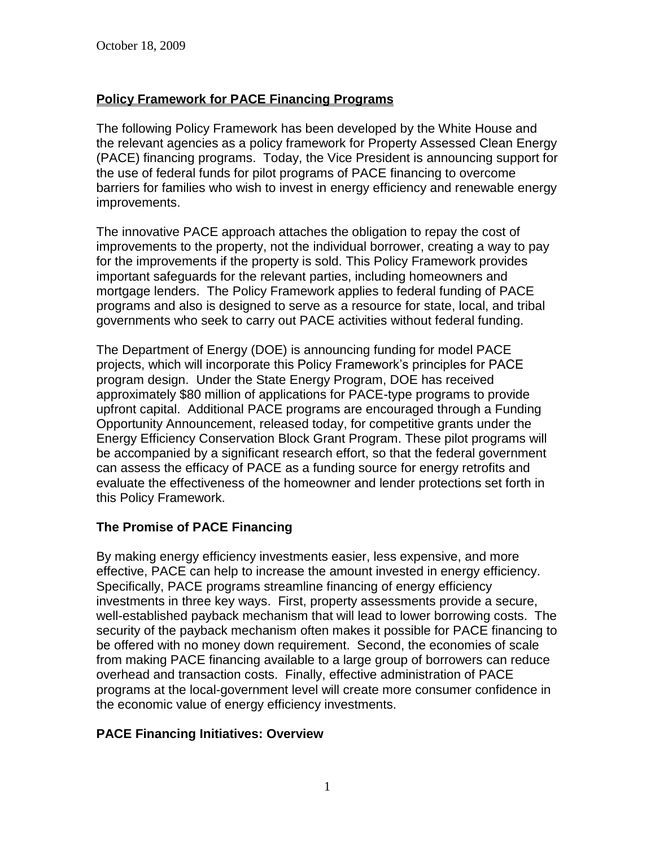# **Policy Framework for PACE Financing Programs**

The following Policy Framework has been developed by the White House and the relevant agencies as a policy framework for Property Assessed Clean Energy (PACE) financing programs. Today, the Vice President is announcing support for the use of federal funds for pilot programs of PACE financing to overcome barriers for families who wish to invest in energy efficiency and renewable energy improvements.

The innovative PACE approach attaches the obligation to repay the cost of improvements to the property, not the individual borrower, creating a way to pay for the improvements if the property is sold. This Policy Framework provides important safeguards for the relevant parties, including homeowners and mortgage lenders. The Policy Framework applies to federal funding of PACE programs and also is designed to serve as a resource for state, local, and tribal governments who seek to carry out PACE activities without federal funding.

The Department of Energy (DOE) is announcing funding for model PACE projects, which will incorporate this Policy Framework's principles for PACE program design. Under the State Energy Program, DOE has received approximately \$80 million of applications for PACE-type programs to provide upfront capital. Additional PACE programs are encouraged through a Funding Opportunity Announcement, released today, for competitive grants under the Energy Efficiency Conservation Block Grant Program. These pilot programs will be accompanied by a significant research effort, so that the federal government can assess the efficacy of PACE as a funding source for energy retrofits and evaluate the effectiveness of the homeowner and lender protections set forth in this Policy Framework.

## **The Promise of PACE Financing**

By making energy efficiency investments easier, less expensive, and more effective, PACE can help to increase the amount invested in energy efficiency. Specifically, PACE programs streamline financing of energy efficiency investments in three key ways. First, property assessments provide a secure, well-established payback mechanism that will lead to lower borrowing costs. The security of the payback mechanism often makes it possible for PACE financing to be offered with no money down requirement. Second, the economies of scale from making PACE financing available to a large group of borrowers can reduce overhead and transaction costs. Finally, effective administration of PACE programs at the local-government level will create more consumer confidence in the economic value of energy efficiency investments.

## **PACE Financing Initiatives: Overview**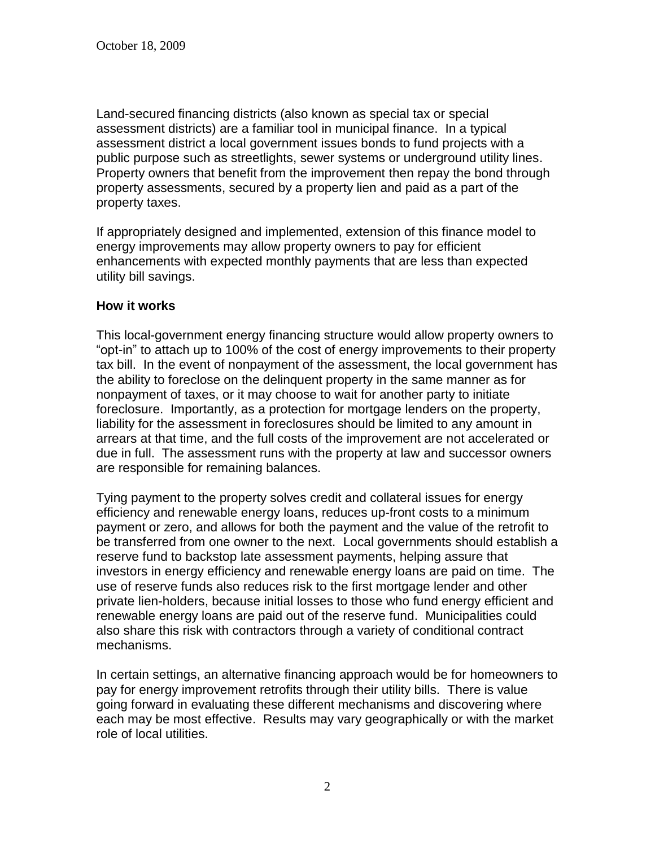Land-secured financing districts (also known as special tax or special assessment districts) are a familiar tool in municipal finance. In a typical assessment district a local government issues bonds to fund projects with a public purpose such as streetlights, sewer systems or underground utility lines. Property owners that benefit from the improvement then repay the bond through property assessments, secured by a property lien and paid as a part of the property taxes.

If appropriately designed and implemented, extension of this finance model to energy improvements may allow property owners to pay for efficient enhancements with expected monthly payments that are less than expected utility bill savings.

#### **How it works**

This local-government energy financing structure would allow property owners to "opt-in" to attach up to 100% of the cost of energy improvements to their property tax bill. In the event of nonpayment of the assessment, the local government has the ability to foreclose on the delinquent property in the same manner as for nonpayment of taxes, or it may choose to wait for another party to initiate foreclosure. Importantly, as a protection for mortgage lenders on the property, liability for the assessment in foreclosures should be limited to any amount in arrears at that time, and the full costs of the improvement are not accelerated or due in full. The assessment runs with the property at law and successor owners are responsible for remaining balances.

Tying payment to the property solves credit and collateral issues for energy efficiency and renewable energy loans, reduces up-front costs to a minimum payment or zero, and allows for both the payment and the value of the retrofit to be transferred from one owner to the next. Local governments should establish a reserve fund to backstop late assessment payments, helping assure that investors in energy efficiency and renewable energy loans are paid on time. The use of reserve funds also reduces risk to the first mortgage lender and other private lien-holders, because initial losses to those who fund energy efficient and renewable energy loans are paid out of the reserve fund. Municipalities could also share this risk with contractors through a variety of conditional contract mechanisms.

In certain settings, an alternative financing approach would be for homeowners to pay for energy improvement retrofits through their utility bills. There is value going forward in evaluating these different mechanisms and discovering where each may be most effective. Results may vary geographically or with the market role of local utilities.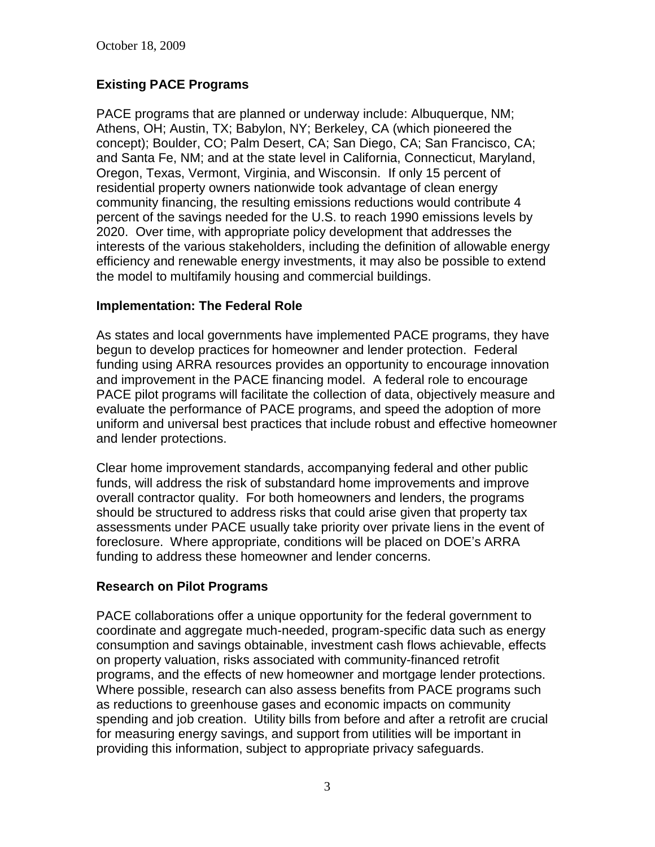# **Existing PACE Programs**

PACE programs that are planned or underway include: Albuquerque, NM; Athens, OH; Austin, TX; Babylon, NY; Berkeley, CA (which pioneered the concept); Boulder, CO; Palm Desert, CA; San Diego, CA; San Francisco, CA; and Santa Fe, NM; and at the state level in California, Connecticut, Maryland, Oregon, Texas, Vermont, Virginia, and Wisconsin. If only 15 percent of residential property owners nationwide took advantage of clean energy community financing, the resulting emissions reductions would contribute 4 percent of the savings needed for the U.S. to reach 1990 emissions levels by 2020. Over time, with appropriate policy development that addresses the interests of the various stakeholders, including the definition of allowable energy efficiency and renewable energy investments, it may also be possible to extend the model to multifamily housing and commercial buildings.

#### **Implementation: The Federal Role**

As states and local governments have implemented PACE programs, they have begun to develop practices for homeowner and lender protection. Federal funding using ARRA resources provides an opportunity to encourage innovation and improvement in the PACE financing model. A federal role to encourage PACE pilot programs will facilitate the collection of data, objectively measure and evaluate the performance of PACE programs, and speed the adoption of more uniform and universal best practices that include robust and effective homeowner and lender protections.

Clear home improvement standards, accompanying federal and other public funds, will address the risk of substandard home improvements and improve overall contractor quality. For both homeowners and lenders, the programs should be structured to address risks that could arise given that property tax assessments under PACE usually take priority over private liens in the event of foreclosure. Where appropriate, conditions will be placed on DOE's ARRA funding to address these homeowner and lender concerns.

## **Research on Pilot Programs**

PACE collaborations offer a unique opportunity for the federal government to coordinate and aggregate much-needed, program-specific data such as energy consumption and savings obtainable, investment cash flows achievable, effects on property valuation, risks associated with community-financed retrofit programs, and the effects of new homeowner and mortgage lender protections. Where possible, research can also assess benefits from PACE programs such as reductions to greenhouse gases and economic impacts on community spending and job creation. Utility bills from before and after a retrofit are crucial for measuring energy savings, and support from utilities will be important in providing this information, subject to appropriate privacy safeguards.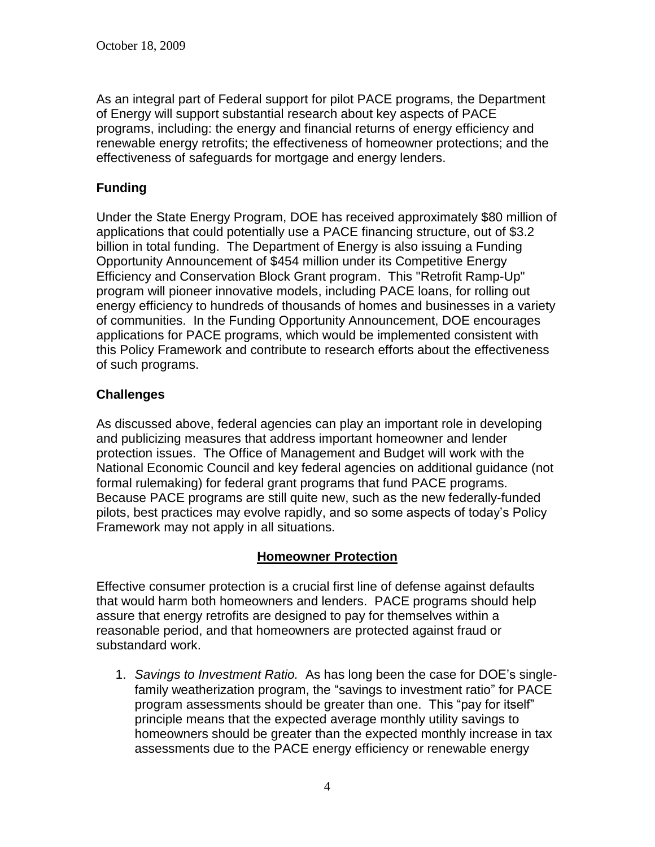As an integral part of Federal support for pilot PACE programs, the Department of Energy will support substantial research about key aspects of PACE programs, including: the energy and financial returns of energy efficiency and renewable energy retrofits; the effectiveness of homeowner protections; and the effectiveness of safeguards for mortgage and energy lenders.

# **Funding**

Under the State Energy Program, DOE has received approximately \$80 million of applications that could potentially use a PACE financing structure, out of \$3.2 billion in total funding. The Department of Energy is also issuing a Funding Opportunity Announcement of \$454 million under its Competitive Energy Efficiency and Conservation Block Grant program. This "Retrofit Ramp-Up" program will pioneer innovative models, including PACE loans, for rolling out energy efficiency to hundreds of thousands of homes and businesses in a variety of communities. In the Funding Opportunity Announcement, DOE encourages applications for PACE programs, which would be implemented consistent with this Policy Framework and contribute to research efforts about the effectiveness of such programs.

## **Challenges**

As discussed above, federal agencies can play an important role in developing and publicizing measures that address important homeowner and lender protection issues. The Office of Management and Budget will work with the National Economic Council and key federal agencies on additional guidance (not formal rulemaking) for federal grant programs that fund PACE programs. Because PACE programs are still quite new, such as the new federally-funded pilots, best practices may evolve rapidly, and so some aspects of today's Policy Framework may not apply in all situations.

## **Homeowner Protection**

Effective consumer protection is a crucial first line of defense against defaults that would harm both homeowners and lenders. PACE programs should help assure that energy retrofits are designed to pay for themselves within a reasonable period, and that homeowners are protected against fraud or substandard work.

1. *Savings to Investment Ratio.* As has long been the case for DOE's singlefamily weatherization program, the "savings to investment ratio" for PACE program assessments should be greater than one. This "pay for itself" principle means that the expected average monthly utility savings to homeowners should be greater than the expected monthly increase in tax assessments due to the PACE energy efficiency or renewable energy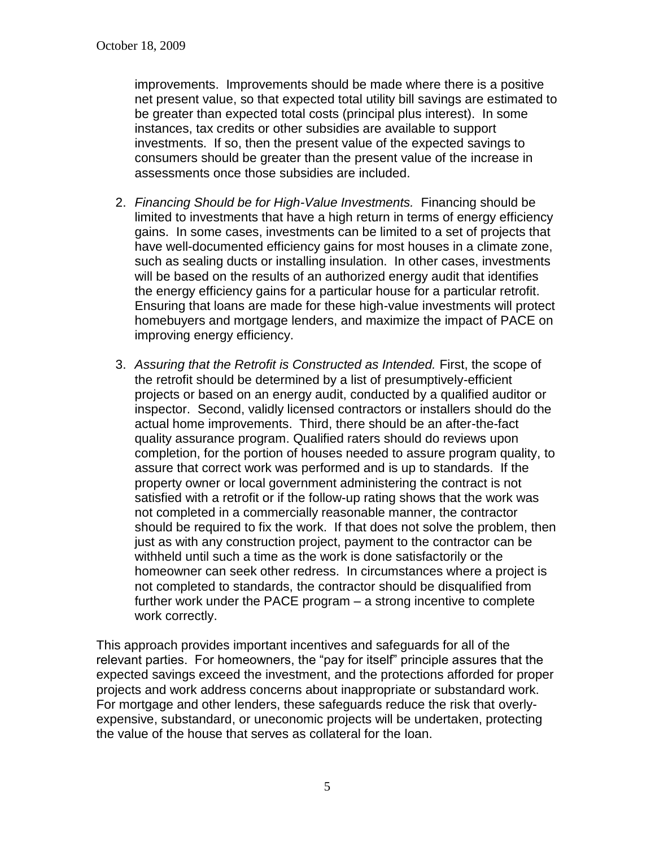improvements. Improvements should be made where there is a positive net present value, so that expected total utility bill savings are estimated to be greater than expected total costs (principal plus interest). In some instances, tax credits or other subsidies are available to support investments. If so, then the present value of the expected savings to consumers should be greater than the present value of the increase in assessments once those subsidies are included.

- 2. *Financing Should be for High-Value Investments.* Financing should be limited to investments that have a high return in terms of energy efficiency gains. In some cases, investments can be limited to a set of projects that have well-documented efficiency gains for most houses in a climate zone, such as sealing ducts or installing insulation. In other cases, investments will be based on the results of an authorized energy audit that identifies the energy efficiency gains for a particular house for a particular retrofit. Ensuring that loans are made for these high-value investments will protect homebuyers and mortgage lenders, and maximize the impact of PACE on improving energy efficiency.
- 3. *Assuring that the Retrofit is Constructed as Intended.* First, the scope of the retrofit should be determined by a list of presumptively-efficient projects or based on an energy audit, conducted by a qualified auditor or inspector. Second, validly licensed contractors or installers should do the actual home improvements. Third, there should be an after-the-fact quality assurance program. Qualified raters should do reviews upon completion, for the portion of houses needed to assure program quality, to assure that correct work was performed and is up to standards. If the property owner or local government administering the contract is not satisfied with a retrofit or if the follow-up rating shows that the work was not completed in a commercially reasonable manner, the contractor should be required to fix the work. If that does not solve the problem, then just as with any construction project, payment to the contractor can be withheld until such a time as the work is done satisfactorily or the homeowner can seek other redress. In circumstances where a project is not completed to standards, the contractor should be disqualified from further work under the PACE program – a strong incentive to complete work correctly.

This approach provides important incentives and safeguards for all of the relevant parties. For homeowners, the "pay for itself" principle assures that the expected savings exceed the investment, and the protections afforded for proper projects and work address concerns about inappropriate or substandard work. For mortgage and other lenders, these safeguards reduce the risk that overlyexpensive, substandard, or uneconomic projects will be undertaken, protecting the value of the house that serves as collateral for the loan.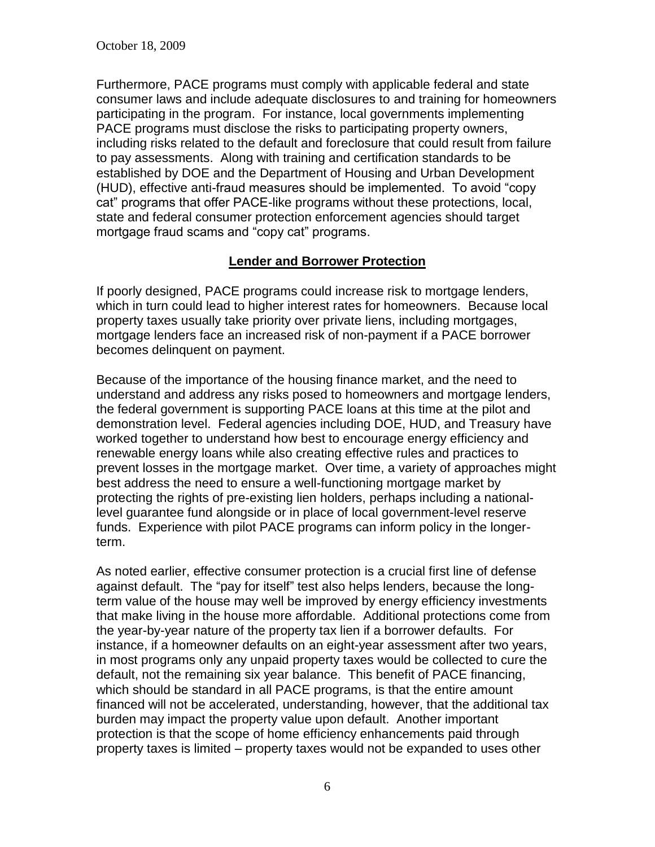Furthermore, PACE programs must comply with applicable federal and state consumer laws and include adequate disclosures to and training for homeowners participating in the program. For instance, local governments implementing PACE programs must disclose the risks to participating property owners, including risks related to the default and foreclosure that could result from failure to pay assessments. Along with training and certification standards to be established by DOE and the Department of Housing and Urban Development (HUD), effective anti-fraud measures should be implemented. To avoid "copy cat" programs that offer PACE-like programs without these protections, local, state and federal consumer protection enforcement agencies should target mortgage fraud scams and "copy cat" programs.

#### **Lender and Borrower Protection**

If poorly designed, PACE programs could increase risk to mortgage lenders, which in turn could lead to higher interest rates for homeowners. Because local property taxes usually take priority over private liens, including mortgages, mortgage lenders face an increased risk of non-payment if a PACE borrower becomes delinquent on payment.

Because of the importance of the housing finance market, and the need to understand and address any risks posed to homeowners and mortgage lenders, the federal government is supporting PACE loans at this time at the pilot and demonstration level. Federal agencies including DOE, HUD, and Treasury have worked together to understand how best to encourage energy efficiency and renewable energy loans while also creating effective rules and practices to prevent losses in the mortgage market. Over time, a variety of approaches might best address the need to ensure a well-functioning mortgage market by protecting the rights of pre-existing lien holders, perhaps including a nationallevel guarantee fund alongside or in place of local government-level reserve funds. Experience with pilot PACE programs can inform policy in the longerterm.

As noted earlier, effective consumer protection is a crucial first line of defense against default. The "pay for itself" test also helps lenders, because the longterm value of the house may well be improved by energy efficiency investments that make living in the house more affordable. Additional protections come from the year-by-year nature of the property tax lien if a borrower defaults. For instance, if a homeowner defaults on an eight-year assessment after two years, in most programs only any unpaid property taxes would be collected to cure the default, not the remaining six year balance. This benefit of PACE financing, which should be standard in all PACE programs, is that the entire amount financed will not be accelerated, understanding, however, that the additional tax burden may impact the property value upon default. Another important protection is that the scope of home efficiency enhancements paid through property taxes is limited – property taxes would not be expanded to uses other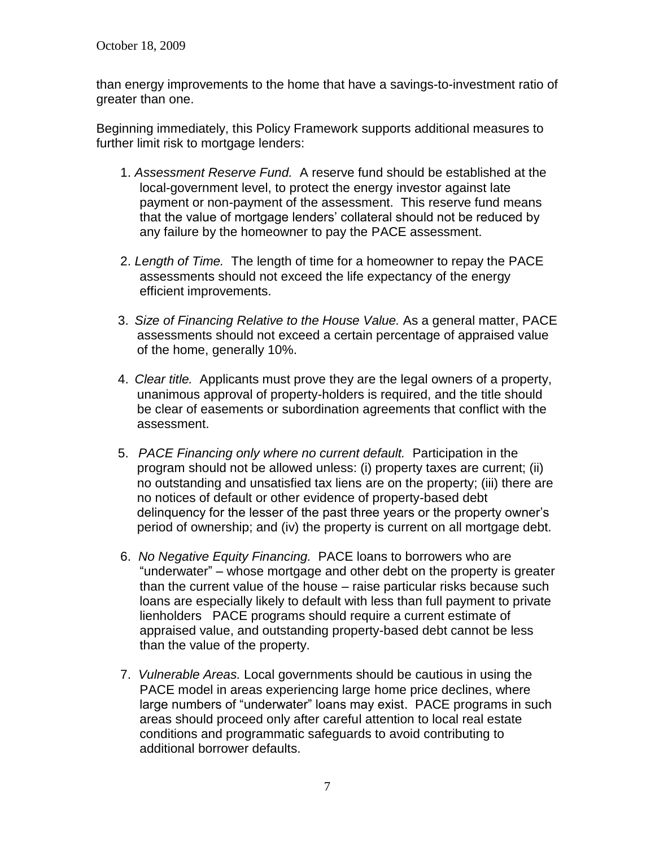than energy improvements to the home that have a savings-to-investment ratio of greater than one.

Beginning immediately, this Policy Framework supports additional measures to further limit risk to mortgage lenders:

- 1. *Assessment Reserve Fund.* A reserve fund should be established at the local-government level, to protect the energy investor against late payment or non-payment of the assessment. This reserve fund means that the value of mortgage lenders' collateral should not be reduced by any failure by the homeowner to pay the PACE assessment.
- 2. *Length of Time.* The length of time for a homeowner to repay the PACE assessments should not exceed the life expectancy of the energy efficient improvements.
- 3. *Size of Financing Relative to the House Value.* As a general matter, PACE assessments should not exceed a certain percentage of appraised value of the home, generally 10%.
- 4. *Clear title.* Applicants must prove they are the legal owners of a property, unanimous approval of property-holders is required, and the title should be clear of easements or subordination agreements that conflict with the assessment.
- 5. *PACE Financing only where no current default.* Participation in the program should not be allowed unless: (i) property taxes are current; (ii) no outstanding and unsatisfied tax liens are on the property; (iii) there are no notices of default or other evidence of property-based debt delinquency for the lesser of the past three years or the property owner's period of ownership; and (iv) the property is current on all mortgage debt.
- 6. *No Negative Equity Financing.* PACE loans to borrowers who are "underwater" – whose mortgage and other debt on the property is greater than the current value of the house – raise particular risks because such loans are especially likely to default with less than full payment to private lienholders PACE programs should require a current estimate of appraised value, and outstanding property-based debt cannot be less than the value of the property.
- 7. *Vulnerable Areas.* Local governments should be cautious in using the PACE model in areas experiencing large home price declines, where large numbers of "underwater" loans may exist. PACE programs in such areas should proceed only after careful attention to local real estate conditions and programmatic safeguards to avoid contributing to additional borrower defaults.